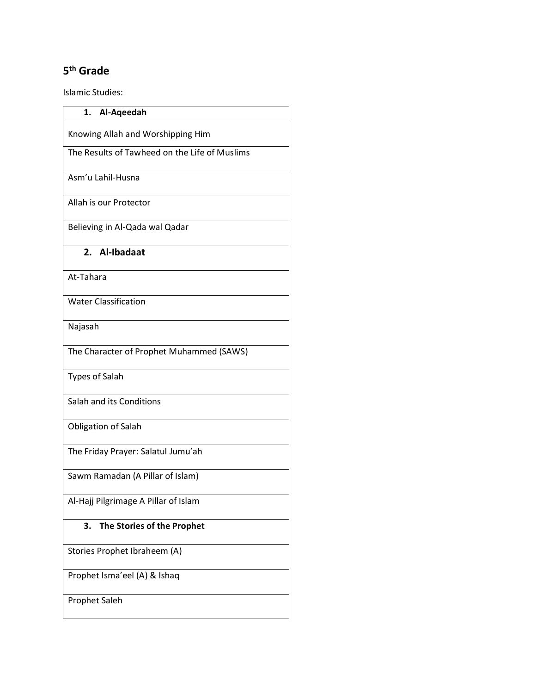## **5th Grade**

Islamic Studies:

| 1.<br>Al-Aqeedah                              |
|-----------------------------------------------|
| Knowing Allah and Worshipping Him             |
| The Results of Tawheed on the Life of Muslims |
| Asm'u Lahil-Husna                             |
| Allah is our Protector                        |
| Believing in Al-Qada wal Qadar                |
| 2. Al-Ibadaat                                 |
| At-Tahara                                     |
| <b>Water Classification</b>                   |
| Najasah                                       |
| The Character of Prophet Muhammed (SAWS)      |
| <b>Types of Salah</b>                         |
| Salah and its Conditions                      |
| Obligation of Salah                           |
| The Friday Prayer: Salatul Jumu'ah            |
| Sawm Ramadan (A Pillar of Islam)              |
| Al-Hajj Pilgrimage A Pillar of Islam          |
| 3.<br>The Stories of the Prophet              |
| Stories Prophet Ibraheem (A)                  |
| Prophet Isma'eel (A) & Ishaq                  |
| Prophet Saleh                                 |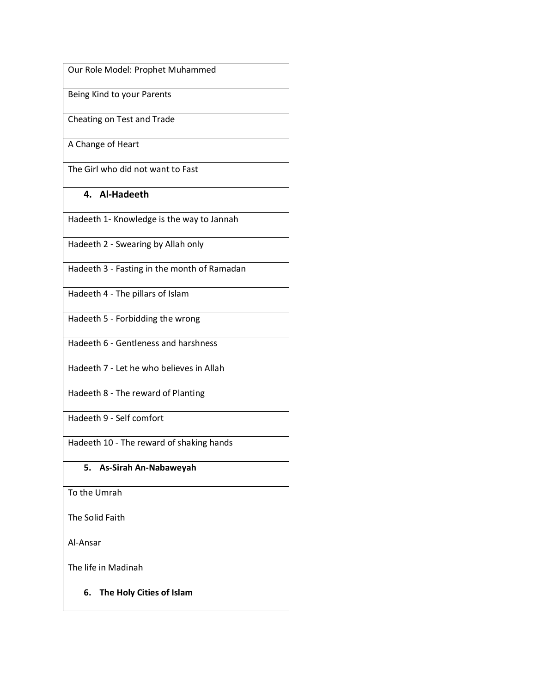Our Role Model: Prophet Muhammed

Being Kind to your Parents

Cheating on Test and Trade

A Change of Heart

The Girl who did not want to Fast

## **4. Al-Hadeeth**

Hadeeth 1- Knowledge is the way to Jannah

Hadeeth 2 - Swearing by Allah only

Hadeeth 3 - Fasting in the month of Ramadan

Hadeeth 4 - The pillars of Islam

Hadeeth 5 - Forbidding the wrong

Hadeeth 6 - Gentleness and harshness

Hadeeth 7 - Let he who believes in Allah

Hadeeth 8 - The reward of Planting

Hadeeth 9 - Self comfort

Hadeeth 10 - The reward of shaking hands

## **5. As-Sirah An-Nabaweyah**

To the Umrah

The Solid Faith

Al-Ansar

The life in Madinah

**6. The Holy Cities of Islam**